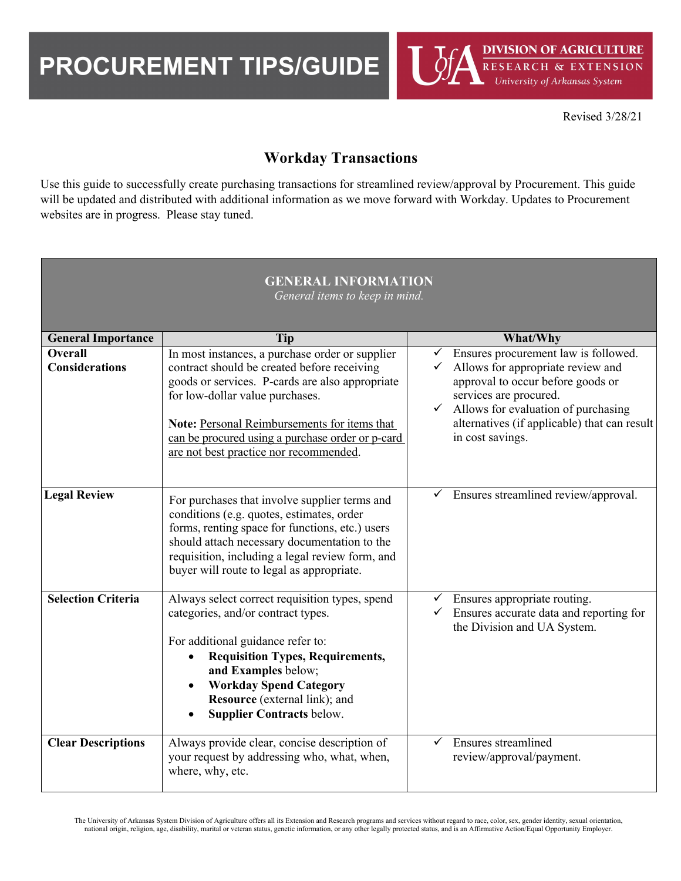PROCUREMENT TIPS/GUIDE

Revised 3/28/21

# **Workday Transactions**

 Use this guide to successfully create purchasing transactions for streamlined review/approval by Procurement. This guide will be updated and distributed with additional information as we move forward with Workday. Updates to Procurement websites are in progress. Please stay tuned.

| <b>GENERAL INFORMATION</b><br>General items to keep in mind. |                                                                                                                                                                                                                                                                                                                                    |                                                                                                                                                                                                                                                                     |  |  |
|--------------------------------------------------------------|------------------------------------------------------------------------------------------------------------------------------------------------------------------------------------------------------------------------------------------------------------------------------------------------------------------------------------|---------------------------------------------------------------------------------------------------------------------------------------------------------------------------------------------------------------------------------------------------------------------|--|--|
| <b>General Importance</b>                                    | Tip                                                                                                                                                                                                                                                                                                                                | What/Why                                                                                                                                                                                                                                                            |  |  |
| <b>Overall</b><br><b>Considerations</b>                      | In most instances, a purchase order or supplier<br>contract should be created before receiving<br>goods or services. P-cards are also appropriate<br>for low-dollar value purchases.<br>Note: Personal Reimbursements for items that<br>can be procured using a purchase order or p-card<br>are not best practice nor recommended. | Ensures procurement law is followed.<br>Allows for appropriate review and<br>approval to occur before goods or<br>services are procured.<br>Allows for evaluation of purchasing<br>$\checkmark$<br>alternatives (if applicable) that can result<br>in cost savings. |  |  |
| <b>Legal Review</b>                                          | For purchases that involve supplier terms and<br>conditions (e.g. quotes, estimates, order<br>forms, renting space for functions, etc.) users<br>should attach necessary documentation to the<br>requisition, including a legal review form, and<br>buyer will route to legal as appropriate.                                      | $\checkmark$ Ensures streamlined review/approval.                                                                                                                                                                                                                   |  |  |
| <b>Selection Criteria</b>                                    | Always select correct requisition types, spend<br>categories, and/or contract types.<br>For additional guidance refer to:<br><b>Requisition Types, Requirements,</b><br>$\bullet$<br>and Examples below;<br><b>Workday Spend Category</b><br>Resource (external link); and<br><b>Supplier Contracts below.</b>                     | Ensures appropriate routing.<br>Ensures accurate data and reporting for<br>the Division and UA System.                                                                                                                                                              |  |  |
| <b>Clear Descriptions</b>                                    | Always provide clear, concise description of<br>your request by addressing who, what, when,<br>where, why, etc.                                                                                                                                                                                                                    | Ensures streamlined<br>$\checkmark$<br>review/approval/payment.                                                                                                                                                                                                     |  |  |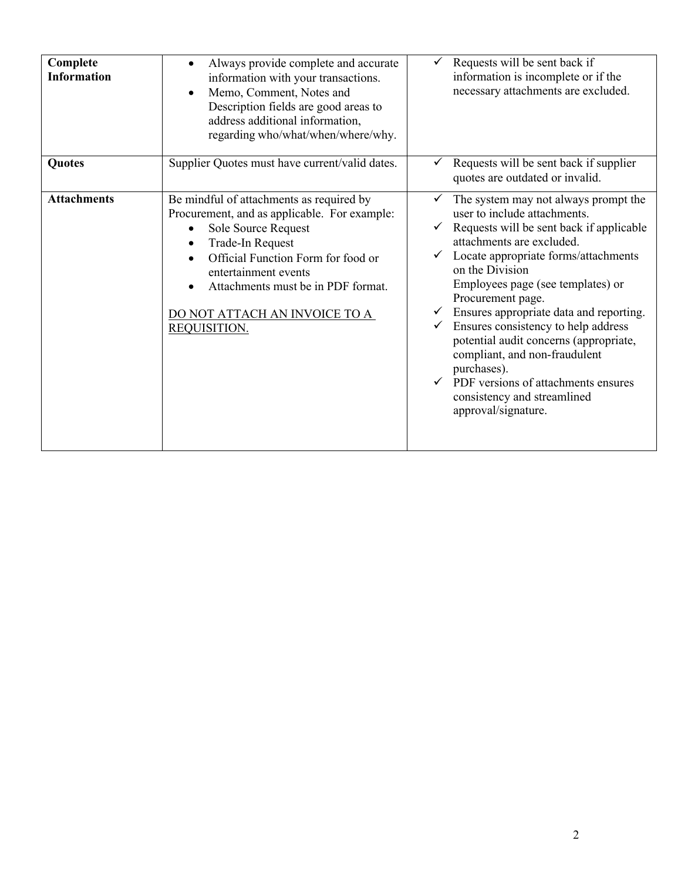| Complete<br><b>Information</b> | Always provide complete and accurate<br>$\bullet$<br>information with your transactions.<br>Memo, Comment, Notes and<br>Description fields are good areas to<br>address additional information,<br>regarding who/what/when/where/why.                                                           | Requests will be sent back if<br>information is incomplete or if the<br>necessary attachments are excluded.                                                                                                                                                                                                                                                                                                                                                                                                                                                                              |
|--------------------------------|-------------------------------------------------------------------------------------------------------------------------------------------------------------------------------------------------------------------------------------------------------------------------------------------------|------------------------------------------------------------------------------------------------------------------------------------------------------------------------------------------------------------------------------------------------------------------------------------------------------------------------------------------------------------------------------------------------------------------------------------------------------------------------------------------------------------------------------------------------------------------------------------------|
| Quotes                         | Supplier Quotes must have current/valid dates.                                                                                                                                                                                                                                                  | Requests will be sent back if supplier<br>quotes are outdated or invalid.                                                                                                                                                                                                                                                                                                                                                                                                                                                                                                                |
| <b>Attachments</b>             | Be mindful of attachments as required by<br>Procurement, and as applicable. For example:<br>Sole Source Request<br>Trade-In Request<br>Official Function Form for food or<br>entertainment events<br>Attachments must be in PDF format.<br>DO NOT ATTACH AN INVOICE TO A<br><b>REQUISITION.</b> | The system may not always prompt the<br>$\checkmark$<br>user to include attachments.<br>Requests will be sent back if applicable<br>attachments are excluded.<br>Locate appropriate forms/attachments<br>on the Division<br>Employees page (see templates) or<br>Procurement page.<br>Ensures appropriate data and reporting.<br>Ensures consistency to help address<br>$\checkmark$<br>potential audit concerns (appropriate,<br>compliant, and non-fraudulent<br>purchases).<br>$\checkmark$ PDF versions of attachments ensures<br>consistency and streamlined<br>approval/signature. |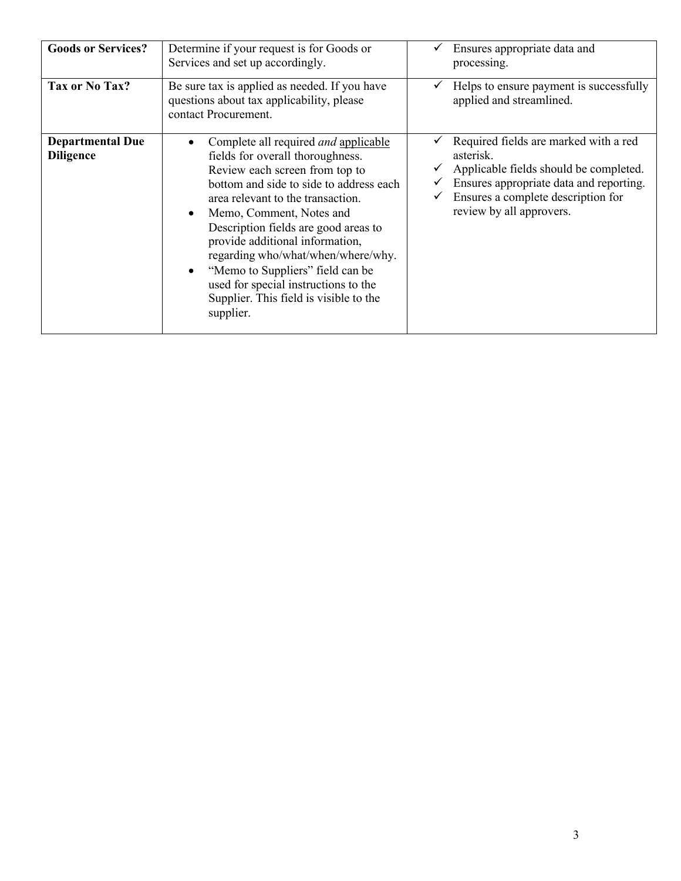| <b>Goods or Services?</b>                   | Determine if your request is for Goods or<br>Services and set up accordingly.                                                                                                                                                                                                                                                                                                                                                                                                     | Ensures appropriate data and<br>processing.                                                                                                                                                               |
|---------------------------------------------|-----------------------------------------------------------------------------------------------------------------------------------------------------------------------------------------------------------------------------------------------------------------------------------------------------------------------------------------------------------------------------------------------------------------------------------------------------------------------------------|-----------------------------------------------------------------------------------------------------------------------------------------------------------------------------------------------------------|
| Tax or No Tax?                              | Be sure tax is applied as needed. If you have<br>questions about tax applicability, please<br>contact Procurement.                                                                                                                                                                                                                                                                                                                                                                | Helps to ensure payment is successfully<br>applied and streamlined.                                                                                                                                       |
| <b>Departmental Due</b><br><b>Diligence</b> | Complete all required <i>and</i> applicable<br>fields for overall thoroughness.<br>Review each screen from top to<br>bottom and side to side to address each<br>area relevant to the transaction.<br>Memo, Comment, Notes and<br>Description fields are good areas to<br>provide additional information,<br>regarding who/what/when/where/why.<br>"Memo to Suppliers" field can be<br>used for special instructions to the<br>Supplier. This field is visible to the<br>supplier. | Required fields are marked with a red<br>asterisk.<br>Applicable fields should be completed.<br>Ensures appropriate data and reporting.<br>Ensures a complete description for<br>review by all approvers. |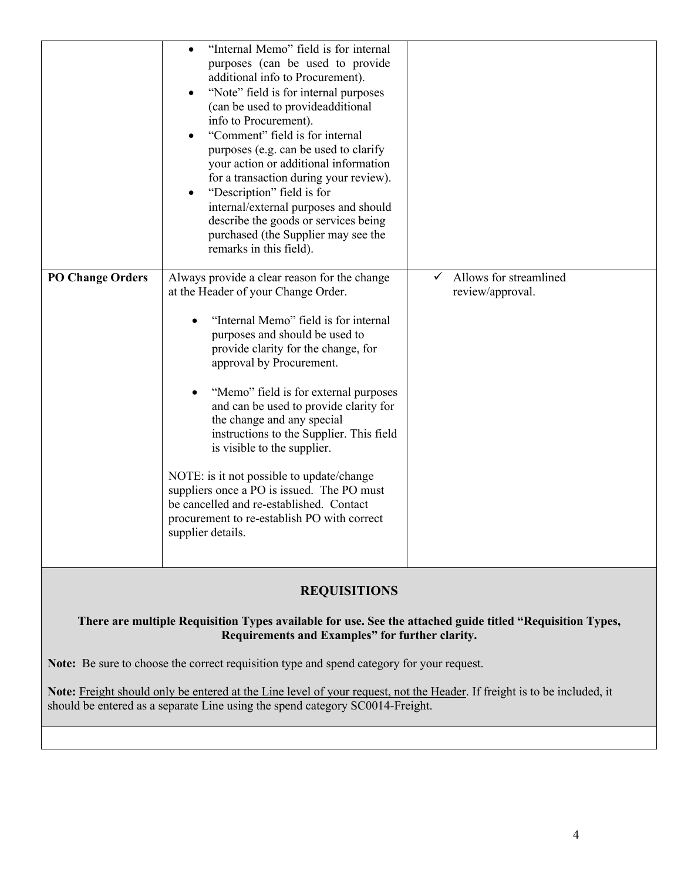|                                                                                                                                  | "Internal Memo" field is for internal<br>$\bullet$<br>purposes (can be used to provide<br>additional info to Procurement).<br>"Note" field is for internal purposes<br>٠<br>(can be used to provideadditional<br>info to Procurement).<br>"Comment" field is for internal<br>٠<br>purposes (e.g. can be used to clarify<br>your action or additional information<br>for a transaction during your review).<br>"Description" field is for<br>٠<br>internal/external purposes and should<br>describe the goods or services being<br>purchased (the Supplier may see the<br>remarks in this field).                                         |                                                            |  |  |
|----------------------------------------------------------------------------------------------------------------------------------|------------------------------------------------------------------------------------------------------------------------------------------------------------------------------------------------------------------------------------------------------------------------------------------------------------------------------------------------------------------------------------------------------------------------------------------------------------------------------------------------------------------------------------------------------------------------------------------------------------------------------------------|------------------------------------------------------------|--|--|
| <b>PO Change Orders</b>                                                                                                          | Always provide a clear reason for the change<br>at the Header of your Change Order.<br>"Internal Memo" field is for internal<br>purposes and should be used to<br>provide clarity for the change, for<br>approval by Procurement.<br>"Memo" field is for external purposes<br>and can be used to provide clarity for<br>the change and any special<br>instructions to the Supplier. This field<br>is visible to the supplier.<br>NOTE: is it not possible to update/change<br>suppliers once a PO is issued. The PO must<br>be cancelled and re-established. Contact<br>procurement to re-establish PO with correct<br>supplier details. | Allows for streamlined<br>$\checkmark$<br>review/approval. |  |  |
| <b>REQUISITIONS</b><br>There are multiple Requisition Types available for use. See the attached guide titled "Requisition Types, |                                                                                                                                                                                                                                                                                                                                                                                                                                                                                                                                                                                                                                          |                                                            |  |  |

 **Requirements and Examples" for further clarity.** 

**Note:** Be sure to choose the correct requisition type and spend category for your request.

 $\overline{a}$ **Note:** Freight should only be entered at the Line level of your request, not the Header. If freight is to be included, it should be entered as a separate Line using the spend category SC0014-Freight.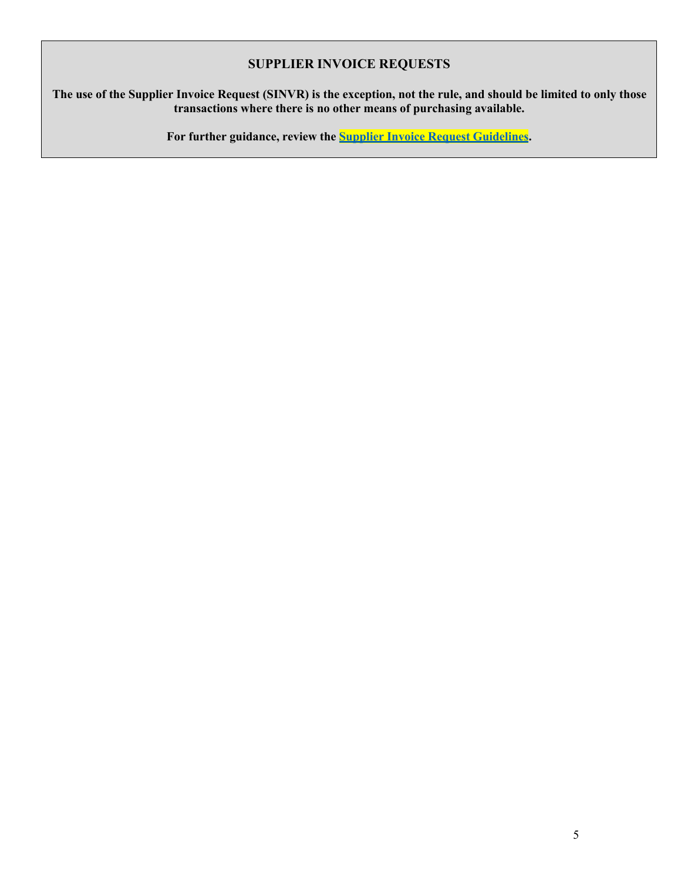### **SUPPLIER INVOICE REQUESTS**

#### **The use of the Supplier Invoice Request (SINVR) is the exception, not the rule, and should be limited to only those transactions where there is no other means of purchasing available.**

 **For further guidance, review the Supplier Invoice Request Guidelines.**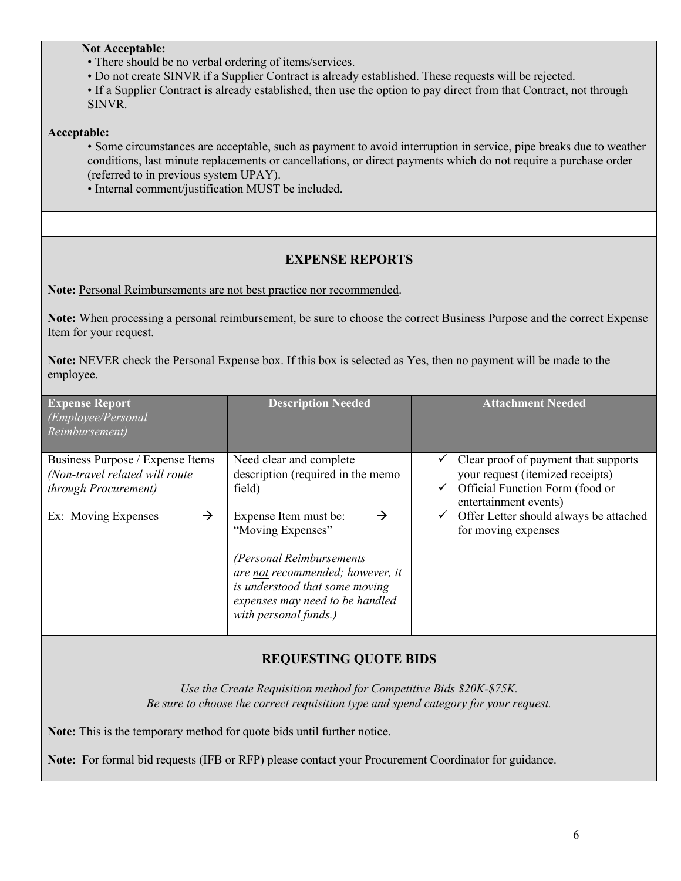#### **Not Acceptable:**

- There should be no verbal ordering of items/services.
- Do not create SINVR if a Supplier Contract is already established. These requests will be rejected.

• If a Supplier Contract is already established, then use the option to pay direct from that Contract, not through SINVR.

#### **Acceptable:**

 • Some circumstances are acceptable, such as payment to avoid interruption in service, pipe breaks due to weather conditions, last minute replacements or cancellations, or direct payments which do not require a purchase order (referred to in previous system UPAY).

• Internal comment/justification MUST be included.

### **EXPENSE REPORTS**

Note: Personal Reimbursements are not best practice nor recommended.

 **Note:** When processing a personal reimbursement, be sure to choose the correct Business Purpose and the correct Expense Item for your request.

 **Note:** NEVER check the Personal Expense box. If this box is selected as Yes, then no payment will be made to the employee.

| <b>Expense Report</b><br>(Employee/Personal<br>Reimbursement)                              | <b>Description Needed</b>                                                                                                                                                                                                 | <b>Attachment Needed</b>                                                                                                                  |
|--------------------------------------------------------------------------------------------|---------------------------------------------------------------------------------------------------------------------------------------------------------------------------------------------------------------------------|-------------------------------------------------------------------------------------------------------------------------------------------|
| Business Purpose / Expense Items<br>(Non-travel related will route<br>through Procurement) | Need clear and complete<br>description (required in the memo<br>field)                                                                                                                                                    | Clear proof of payment that supports<br>your request (itemized receipts)<br>Official Function Form (food or<br>✓<br>entertainment events) |
| Ex: Moving Expenses<br>$\rightarrow$                                                       | Expense Item must be:<br>$\rightarrow$<br>"Moving Expenses"<br>(Personal Reimbursements<br>are not recommended; however, it<br>is understood that some moving<br>expenses may need to be handled<br>with personal funds.) | Offer Letter should always be attached<br>$\checkmark$<br>for moving expenses                                                             |

### **REQUESTING QUOTE BIDS**

 *Use the Create Requisition method for Competitive Bids \$20K-\$75K. Be sure to choose the correct requisition type and spend category for your request.* 

**Note:** This is the temporary method for quote bids until further notice.

**Note:** For formal bid requests (IFB or RFP) please contact your Procurement Coordinator for guidance.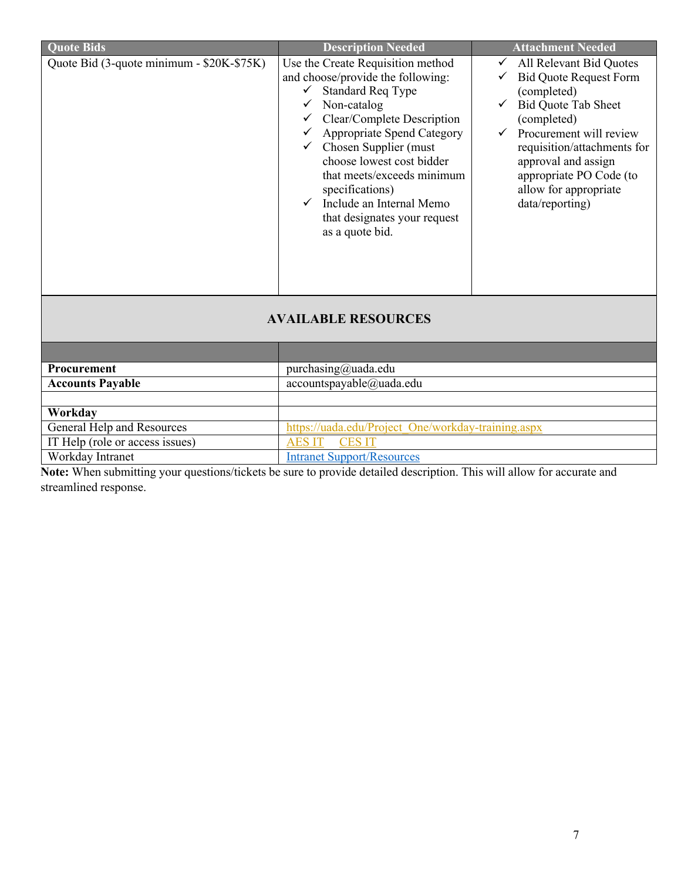| <b>Quote Bids</b>                         | <b>Description Needed</b>                                                                                                                                                                                                                                                                                                                                                               | <b>Attachment Needed</b>                                                                                                                                                                                                                                                                     |
|-------------------------------------------|-----------------------------------------------------------------------------------------------------------------------------------------------------------------------------------------------------------------------------------------------------------------------------------------------------------------------------------------------------------------------------------------|----------------------------------------------------------------------------------------------------------------------------------------------------------------------------------------------------------------------------------------------------------------------------------------------|
| Quote Bid (3-quote minimum - \$20K-\$75K) | Use the Create Requisition method<br>and choose/provide the following:<br><b>Standard Req Type</b><br>Non-catalog<br>Clear/Complete Description<br><b>Appropriate Spend Category</b><br>$\checkmark$ Chosen Supplier (must<br>choose lowest cost bidder<br>that meets/exceeds minimum<br>specifications)<br>Include an Internal Memo<br>that designates your request<br>as a quote bid. | All Relevant Bid Quotes<br>$\checkmark$<br><b>Bid Quote Request Form</b><br>(completed)<br><b>Bid Quote Tab Sheet</b><br>(completed)<br>Procurement will review<br>requisition/attachments for<br>approval and assign<br>appropriate PO Code (to<br>allow for appropriate<br>data/reporting) |
|                                           | <b>AVAILABLE RESOURCES</b>                                                                                                                                                                                                                                                                                                                                                              |                                                                                                                                                                                                                                                                                              |
|                                           |                                                                                                                                                                                                                                                                                                                                                                                         |                                                                                                                                                                                                                                                                                              |
| Procurement                               | purchasing@uada.edu                                                                                                                                                                                                                                                                                                                                                                     |                                                                                                                                                                                                                                                                                              |
| <b>Accounts Payable</b>                   | accountspayable@uada.edu                                                                                                                                                                                                                                                                                                                                                                |                                                                                                                                                                                                                                                                                              |

| <b>Procurement</b>              | pure hasing@uada.edu                               |
|---------------------------------|----------------------------------------------------|
| <b>Accounts Payable</b>         | accountspayable@uada.edu                           |
|                                 |                                                    |
| Workday                         |                                                    |
| General Help and Resources      | https://uada.edu/Project One/workday-training.aspx |
| IT Help (role or access issues) | AES IT CES IT                                      |
| Workday Intranet                | <b>Intranet Support/Resources</b>                  |

 **Note:** When submitting your questions/tickets be sure to provide detailed description. This will allow for accurate and streamlined response.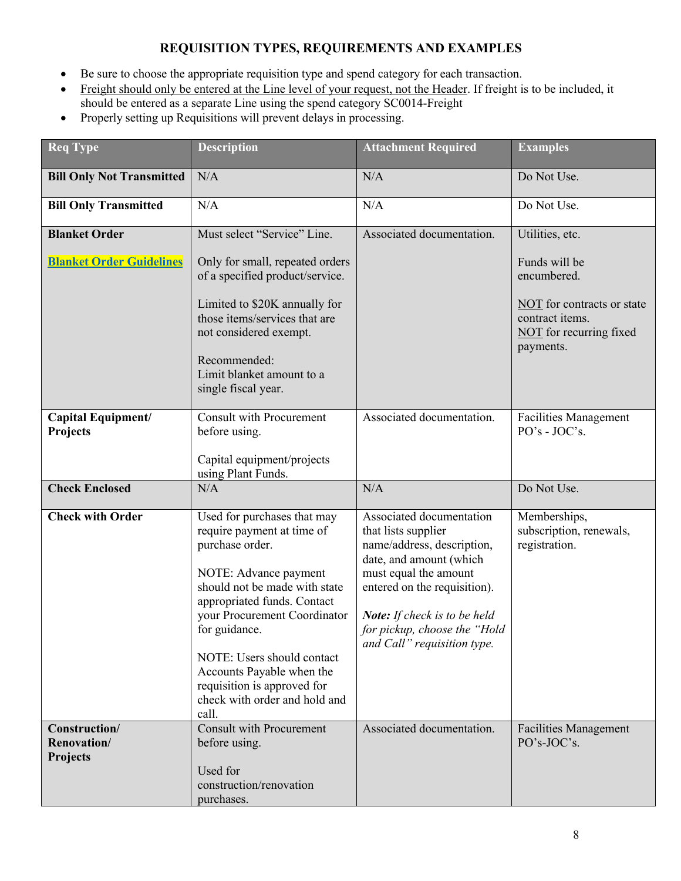## **REQUISITION TYPES, REQUIREMENTS AND EXAMPLES**

- Be sure to choose the appropriate requisition type and spend category for each transaction.
- Freight should only be entered at the Line level of your request, not the Header. If freight is to be included, it should be entered as a separate Line using the spend category SC0014-Freight
- Properly setting up Requisitions will prevent delays in processing.

| <b>Req Type</b>                          | <b>Description</b>                                                                                                                                                                                                                                                                                                                                         | <b>Attachment Required</b>                                                                                                                                                                                                                                       | <b>Examples</b>                                                                       |
|------------------------------------------|------------------------------------------------------------------------------------------------------------------------------------------------------------------------------------------------------------------------------------------------------------------------------------------------------------------------------------------------------------|------------------------------------------------------------------------------------------------------------------------------------------------------------------------------------------------------------------------------------------------------------------|---------------------------------------------------------------------------------------|
| <b>Bill Only Not Transmitted</b>         | N/A                                                                                                                                                                                                                                                                                                                                                        | N/A                                                                                                                                                                                                                                                              | Do Not Use.                                                                           |
| <b>Bill Only Transmitted</b>             | N/A                                                                                                                                                                                                                                                                                                                                                        | N/A                                                                                                                                                                                                                                                              | Do Not Use.                                                                           |
| <b>Blanket Order</b>                     | Must select "Service" Line.                                                                                                                                                                                                                                                                                                                                | Associated documentation.                                                                                                                                                                                                                                        | Utilities, etc.                                                                       |
| <b>Blanket Order Guidelines</b>          | Only for small, repeated orders<br>of a specified product/service.                                                                                                                                                                                                                                                                                         |                                                                                                                                                                                                                                                                  | Funds will be<br>encumbered.                                                          |
|                                          | Limited to \$20K annually for<br>those items/services that are<br>not considered exempt.                                                                                                                                                                                                                                                                   |                                                                                                                                                                                                                                                                  | NOT for contracts or state<br>contract items.<br>NOT for recurring fixed<br>payments. |
|                                          | Recommended:<br>Limit blanket amount to a<br>single fiscal year.                                                                                                                                                                                                                                                                                           |                                                                                                                                                                                                                                                                  |                                                                                       |
| Capital Equipment/<br>Projects           | <b>Consult with Procurement</b><br>before using.                                                                                                                                                                                                                                                                                                           | Associated documentation.                                                                                                                                                                                                                                        | <b>Facilities Management</b><br>PO's - JOC's.                                         |
|                                          | Capital equipment/projects<br>using Plant Funds.                                                                                                                                                                                                                                                                                                           |                                                                                                                                                                                                                                                                  |                                                                                       |
| <b>Check Enclosed</b>                    | N/A                                                                                                                                                                                                                                                                                                                                                        | N/A                                                                                                                                                                                                                                                              | Do Not Use.                                                                           |
| <b>Check with Order</b>                  | Used for purchases that may<br>require payment at time of<br>purchase order.<br>NOTE: Advance payment<br>should not be made with state<br>appropriated funds. Contact<br>your Procurement Coordinator<br>for guidance.<br>NOTE: Users should contact<br>Accounts Payable when the<br>requisition is approved for<br>check with order and hold and<br>call. | Associated documentation<br>that lists supplier<br>name/address, description,<br>date, and amount (which<br>must equal the amount<br>entered on the requisition).<br>Note: If check is to be held<br>for pickup, choose the "Hold<br>and Call" requisition type. | Memberships,<br>subscription, renewals,<br>registration.                              |
| Construction/<br>Renovation/<br>Projects | <b>Consult with Procurement</b><br>before using.<br>Used for<br>construction/renovation<br>purchases.                                                                                                                                                                                                                                                      | Associated documentation.                                                                                                                                                                                                                                        | <b>Facilities Management</b><br>PO's-JOC's.                                           |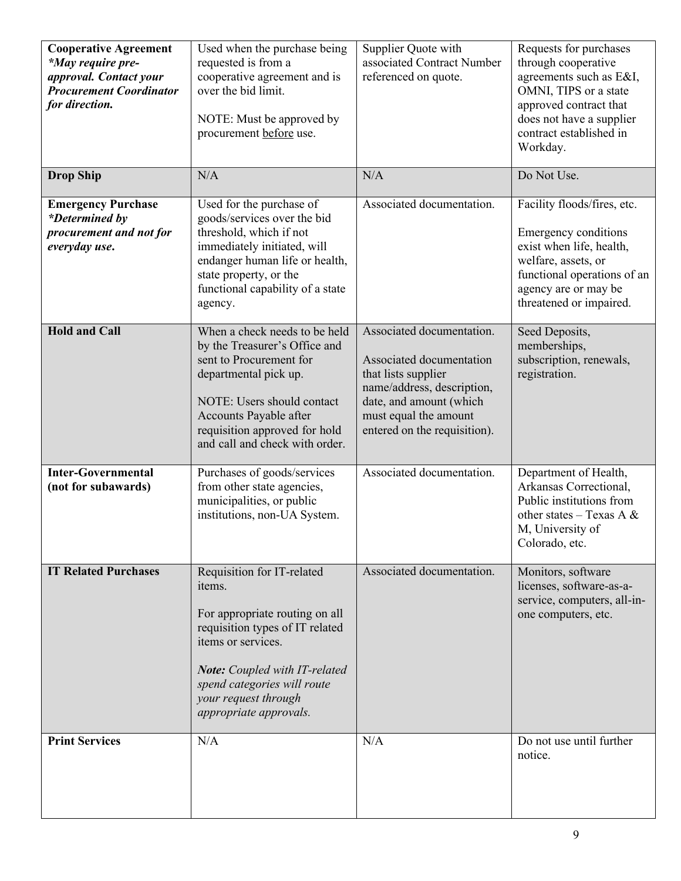| <b>Cooperative Agreement</b><br>*May require pre-<br>approval. Contact your<br><b>Procurement Coordinator</b><br>for direction. | Used when the purchase being<br>requested is from a<br>cooperative agreement and is<br>over the bid limit.<br>NOTE: Must be approved by<br>procurement before use.                                                                                       | Supplier Quote with<br>associated Contract Number<br>referenced on quote.                                                                                                                      | Requests for purchases<br>through cooperative<br>agreements such as E&I,<br>OMNI, TIPS or a state<br>approved contract that<br>does not have a supplier<br>contract established in<br>Workday. |
|---------------------------------------------------------------------------------------------------------------------------------|----------------------------------------------------------------------------------------------------------------------------------------------------------------------------------------------------------------------------------------------------------|------------------------------------------------------------------------------------------------------------------------------------------------------------------------------------------------|------------------------------------------------------------------------------------------------------------------------------------------------------------------------------------------------|
| <b>Drop Ship</b>                                                                                                                | N/A                                                                                                                                                                                                                                                      | N/A                                                                                                                                                                                            | Do Not Use.                                                                                                                                                                                    |
| <b>Emergency Purchase</b><br>*Determined by<br>procurement and not for<br>everyday use.                                         | Used for the purchase of<br>goods/services over the bid<br>threshold, which if not<br>immediately initiated, will<br>endanger human life or health,<br>state property, or the<br>functional capability of a state<br>agency.                             | Associated documentation.                                                                                                                                                                      | Facility floods/fires, etc.<br>Emergency conditions<br>exist when life, health,<br>welfare, assets, or<br>functional operations of an<br>agency are or may be<br>threatened or impaired.       |
| <b>Hold and Call</b>                                                                                                            | When a check needs to be held<br>by the Treasurer's Office and<br>sent to Procurement for<br>departmental pick up.<br>NOTE: Users should contact<br>Accounts Payable after<br>requisition approved for hold<br>and call and check with order.            | Associated documentation.<br>Associated documentation<br>that lists supplier<br>name/address, description,<br>date, and amount (which<br>must equal the amount<br>entered on the requisition). | Seed Deposits,<br>memberships,<br>subscription, renewals,<br>registration.                                                                                                                     |
| <b>Inter-Governmental</b><br>(not for subawards)                                                                                | Purchases of goods/services<br>from other state agencies,<br>municipalities, or public<br>institutions, non-UA System.                                                                                                                                   | Associated documentation.                                                                                                                                                                      | Department of Health,<br>Arkansas Correctional,<br>Public institutions from<br>other states - Texas A $\&$<br>M, University of<br>Colorado, etc.                                               |
| <b>IT Related Purchases</b>                                                                                                     | Requisition for IT-related<br>items.<br>For appropriate routing on all<br>requisition types of IT related<br>items or services.<br><b>Note:</b> Coupled with IT-related<br>spend categories will route<br>your request through<br>appropriate approvals. | Associated documentation.                                                                                                                                                                      | Monitors, software<br>licenses, software-as-a-<br>service, computers, all-in-<br>one computers, etc.                                                                                           |
| <b>Print Services</b>                                                                                                           | N/A                                                                                                                                                                                                                                                      | N/A                                                                                                                                                                                            | Do not use until further<br>notice.                                                                                                                                                            |